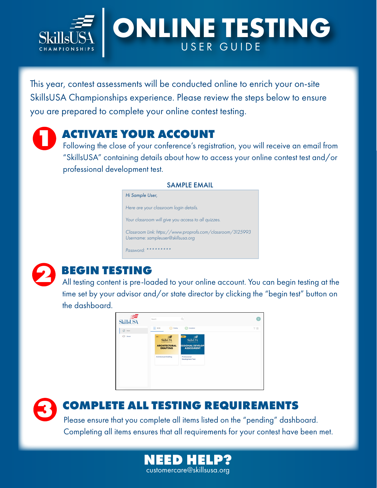

# **ONLINE TESTING** USER GUIDE

This year, contest assessments will be conducted online to enrich your on-site SkillsUSA Championships experience. Please review the steps below to ensure you are prepared to complete your online contest testing.

**12 ACTIVATE YOUR ACCOUNT**<br>
Following the close of your conference's registration, you will receive an email from "SkillsUSA" containing details about how to access your online contest test and/or professional development test.

### SAMPLE EMAIL

*Hi Sample User, Here are your classroom login details. Your classroom will give you access to all quizzes. Classroom Link: https://www.proprofs.com/classroom/3125993 Username: sampleuser@skillsusa.org Password: \*\*\*\*\*\*\*\*\**



**2 BEGIN TESTING**<br>All testing content is pre-loaded to your online account. You can begin testing at the time set by your advisor and/or state director by clicking the "begin test" button on the dashboard.



# **3 COMPLETE ALL TESTING REQUIREMENTS**

Please ensure that you complete all items listed on the "pending" dashboard. Completing all items ensures that all requirements for your contest have been met.